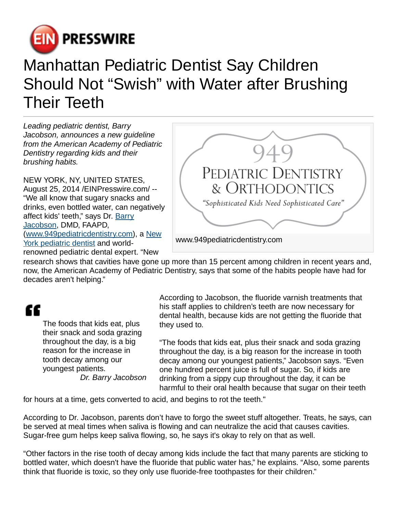

## Manhattan Pediatric Dentist Say Children Should Not "Swish" with Water after Brushing Their Teeth

Leading pediatric dentist, Barry Jacobson, announces a new guideline from the American Academy of Pediatric Dentistry regarding kids and their brushing habits.

NEW YORK, NY, UNITED STATES, August 25, 2014 /[EINPresswire.com/](http://www.einpresswire.com) -- "We all know that sugary snacks and drinks, even bottled water, can negatively affect kids' teeth," says Dr. [Barry](http://www.barryjacobson.com/) [Jacobson](http://www.barryjacobson.com/), DMD, FAAPD, ([www.949pediatricdentistry.com\)](http://www.949pediatricdentistry.com), a [New](http://www.949pediatricdentistry.com/) [York pediatric dentist](http://www.949pediatricdentistry.com/) and worldrenowned pediatric dental expert. "New



research shows that cavities have gone up more than 15 percent among children in recent years and, now, the American Academy of Pediatric Dentistry, says that some of the habits people have had for decades aren't helping."

## "

The foods that kids eat, plus their snack and soda grazing throughout the day, is a big reason for the increase in tooth decay among our youngest patients. Dr. Barry Jacobson

According to Jacobson, the fluoride varnish treatments that his staff applies to children's teeth are now necessary for dental health, because kids are not getting the fluoride that they used to.

"The foods that kids eat, plus their snack and soda grazing throughout the day, is a big reason for the increase in tooth decay among our youngest patients," Jacobson says. "Even one hundred percent juice is full of sugar. So, if kids are drinking from a sippy cup throughout the day, it can be harmful to their oral health because that sugar on their teeth

for hours at a time, gets converted to acid, and begins to rot the teeth."

According to Dr. Jacobson, parents don't have to forgo the sweet stuff altogether. Treats, he says, can be served at meal times when saliva is flowing and can neutralize the acid that causes cavities. Sugar-free gum helps keep saliva flowing, so, he says it's okay to rely on that as well.

"Other factors in the rise tooth of decay among kids include the fact that many parents are sticking to bottled water, which doesn't have the fluoride that public water has," he explains. "Also, some parents think that fluoride is toxic, so they only use fluoride-free toothpastes for their children."